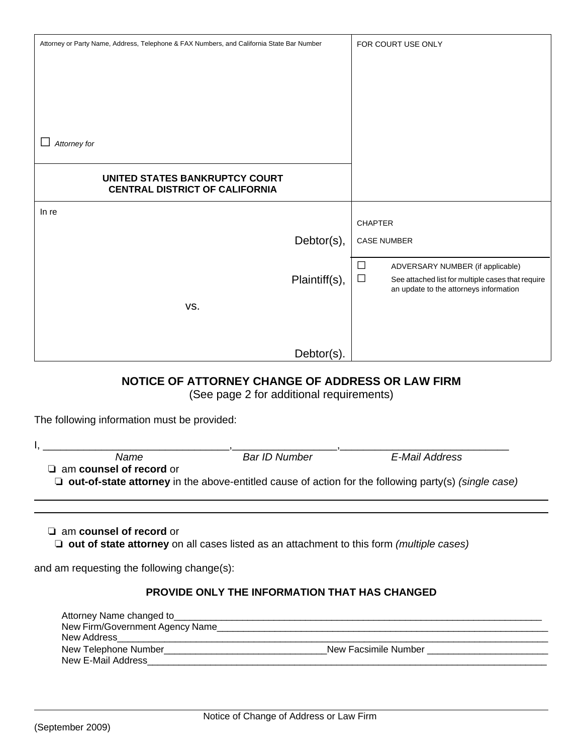| Attorney or Party Name, Address, Telephone & FAX Numbers, and California State Bar Number                                                                                                | FOR COURT USE ONLY                                                                                                                                  |  |  |
|------------------------------------------------------------------------------------------------------------------------------------------------------------------------------------------|-----------------------------------------------------------------------------------------------------------------------------------------------------|--|--|
| Attorney for                                                                                                                                                                             |                                                                                                                                                     |  |  |
| UNITED STATES BANKRUPTCY COURT<br><b>CENTRAL DISTRICT OF CALIFORNIA</b>                                                                                                                  |                                                                                                                                                     |  |  |
| In re<br>Debtor(s),                                                                                                                                                                      | <b>CHAPTER</b><br><b>CASE NUMBER</b>                                                                                                                |  |  |
| Plaintiff(s),<br>VS.                                                                                                                                                                     | $\Box$<br>ADVERSARY NUMBER (if applicable)<br>$\Box$<br>See attached list for multiple cases that require<br>an update to the attorneys information |  |  |
| Debtor(s).                                                                                                                                                                               |                                                                                                                                                     |  |  |
| NOTICE OF ATTORNEY CHANGE OF ADDRESS OR LAW FIRM<br>(See page 2 for additional requirements)                                                                                             |                                                                                                                                                     |  |  |
| The following information must be provided:                                                                                                                                              |                                                                                                                                                     |  |  |
| <b>Bar ID Number</b><br>Name<br>E-Mail Address<br>am counsel of record or<br>$\Box$ out-of-state attorney in the above-entitled cause of action for the following party(s) (single case) |                                                                                                                                                     |  |  |
| $\Box$ am counsel of record or<br>$\Box$ out of state attorney on all cases listed as an attachment to this form (multiple cases)                                                        |                                                                                                                                                     |  |  |
| and am requesting the following change(s):                                                                                                                                               |                                                                                                                                                     |  |  |
| PROVIDE ONLY THE INFORMATION THAT HAS CHANGED<br>Attorney Name changed to_                                                                                                               |                                                                                                                                                     |  |  |

| New Firm/Government Agency Name |                      |  |
|---------------------------------|----------------------|--|
| New Address                     |                      |  |
| New Telephone Number            | New Facsimile Number |  |
| New E-Mail Address              |                      |  |
|                                 |                      |  |